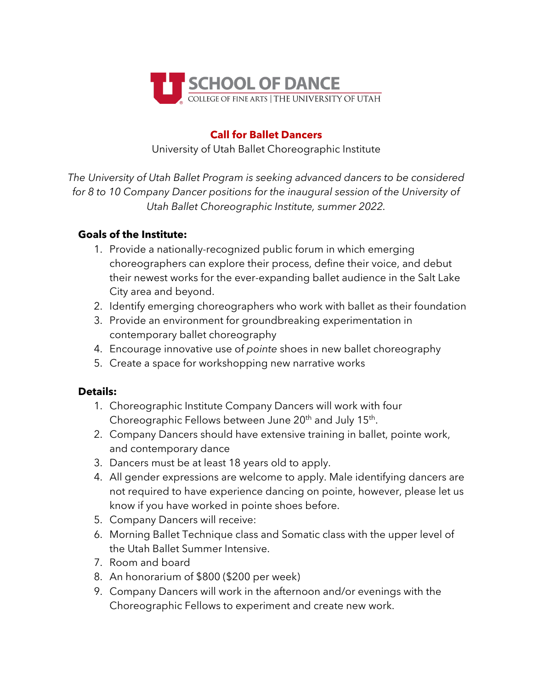

## **Call for Ballet Dancers**

University of Utah Ballet Choreographic Institute

*The University of Utah Ballet Program is seeking advanced dancers to be considered for 8 to 10 Company Dancer positions for the inaugural session of the University of Utah Ballet Choreographic Institute, summer 2022.*

## **Goals of the Institute:**

- 1. Provide a nationally-recognized public forum in which emerging choreographers can explore their process, define their voice, and debut their newest works for the ever-expanding ballet audience in the Salt Lake City area and beyond.
- 2. Identify emerging choreographers who work with ballet as their foundation
- 3. Provide an environment for groundbreaking experimentation in contemporary ballet choreography
- 4. Encourage innovative use of *pointe* shoes in new ballet choreography
- 5. Create a space for workshopping new narrative works

## **Details:**

- 1. Choreographic Institute Company Dancers will work with four Choreographic Fellows between June 20<sup>th</sup> and July 15<sup>th</sup>.
- 2. Company Dancers should have extensive training in ballet, pointe work, and contemporary dance
- 3. Dancers must be at least 18 years old to apply.
- 4. All gender expressions are welcome to apply. Male identifying dancers are not required to have experience dancing on pointe, however, please let us know if you have worked in pointe shoes before.
- 5. Company Dancers will receive:
- 6. Morning Ballet Technique class and Somatic class with the upper level of the Utah Ballet Summer Intensive.
- 7. Room and board
- 8. An honorarium of \$800 (\$200 per week)
- 9. Company Dancers will work in the afternoon and/or evenings with the Choreographic Fellows to experiment and create new work.